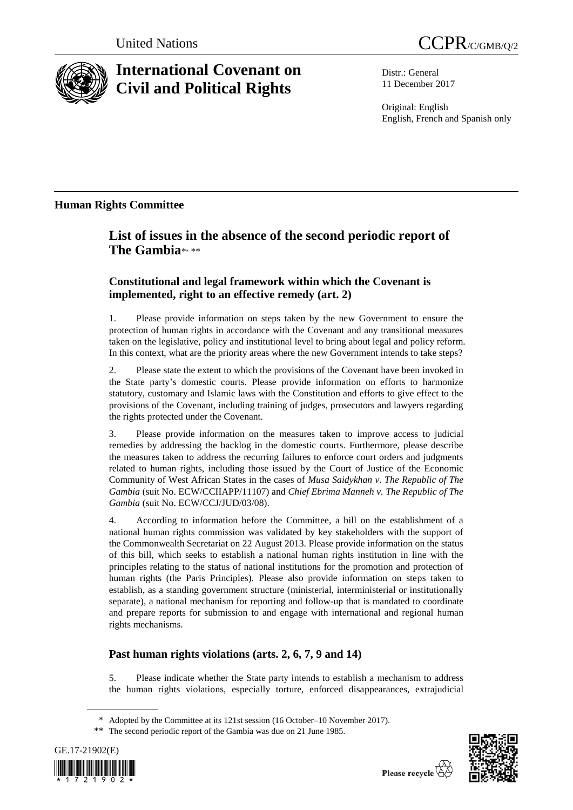



# **International Covenant on Civil and Political Rights**

Distr.: General 11 December 2017

Original: English English, French and Spanish only

### **Human Rights Committee**

## **List of issues in the absence of the second periodic report of**  The Gambia<sup>\*</sup>

### **Constitutional and legal framework within which the Covenant is implemented, right to an effective remedy (art. 2)**

1. Please provide information on steps taken by the new Government to ensure the protection of human rights in accordance with the Covenant and any transitional measures taken on the legislative, policy and institutional level to bring about legal and policy reform. In this context, what are the priority areas where the new Government intends to take steps?

2. Please state the extent to which the provisions of the Covenant have been invoked in the State party's domestic courts. Please provide information on efforts to harmonize statutory, customary and Islamic laws with the Constitution and efforts to give effect to the provisions of the Covenant, including training of judges, prosecutors and lawyers regarding the rights protected under the Covenant.

3. Please provide information on the measures taken to improve access to judicial remedies by addressing the backlog in the domestic courts. Furthermore, please describe the measures taken to address the recurring failures to enforce court orders and judgments related to human rights, including those issued by the Court of Justice of the Economic Community of West African States in the cases of *Musa Saidykhan v. The Republic of The Gambia* (suit No. ECW/CCIIAPP/11107) and *Chief Ebrima Manneh v. The Republic of The Gambia* (suit No. ECW/CCJ/JUD/03/08).

4. According to information before the Committee, a bill on the establishment of a national human rights commission was validated by key stakeholders with the support of the Commonwealth Secretariat on 22 August 2013. Please provide information on the status of this bill, which seeks to establish a national human rights institution in line with the principles relating to the status of national institutions for the promotion and protection of human rights (the Paris Principles). Please also provide information on steps taken to establish, as a standing government structure (ministerial, interministerial or institutionally separate), a national mechanism for reporting and follow-up that is mandated to coordinate and prepare reports for submission to and engage with international and regional human rights mechanisms.

### **Past human rights violations (arts. 2, 6, 7, 9 and 14)**

5. Please indicate whether the State party intends to establish a mechanism to address the human rights violations, especially torture, enforced disappearances, extrajudicial

<sup>\*\*</sup> The second periodic report of the Gambia was due on 21 June 1985.





<sup>\*</sup> Adopted by the Committee at its 121st session (16 October–10 November 2017).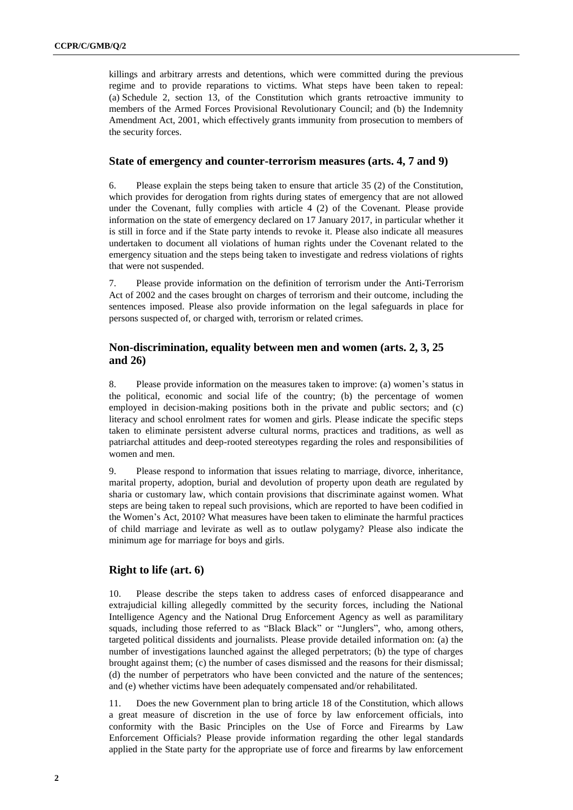killings and arbitrary arrests and detentions, which were committed during the previous regime and to provide reparations to victims. What steps have been taken to repeal: (a) Schedule 2, section 13, of the Constitution which grants retroactive immunity to members of the Armed Forces Provisional Revolutionary Council; and (b) the Indemnity Amendment Act, 2001, which effectively grants immunity from prosecution to members of the security forces.

#### **State of emergency and counter-terrorism measures (arts. 4, 7 and 9)**

6. Please explain the steps being taken to ensure that article 35 (2) of the Constitution, which provides for derogation from rights during states of emergency that are not allowed under the Covenant, fully complies with article 4 (2) of the Covenant. Please provide information on the state of emergency declared on 17 January 2017, in particular whether it is still in force and if the State party intends to revoke it. Please also indicate all measures undertaken to document all violations of human rights under the Covenant related to the emergency situation and the steps being taken to investigate and redress violations of rights that were not suspended.

7. Please provide information on the definition of terrorism under the Anti-Terrorism Act of 2002 and the cases brought on charges of terrorism and their outcome, including the sentences imposed. Please also provide information on the legal safeguards in place for persons suspected of, or charged with, terrorism or related crimes.

#### **Non-discrimination, equality between men and women (arts. 2, 3, 25 and 26)**

8. Please provide information on the measures taken to improve: (a) women's status in the political, economic and social life of the country; (b) the percentage of women employed in decision-making positions both in the private and public sectors; and (c) literacy and school enrolment rates for women and girls. Please indicate the specific steps taken to eliminate persistent adverse cultural norms, practices and traditions, as well as patriarchal attitudes and deep-rooted stereotypes regarding the roles and responsibilities of women and men.

9. Please respond to information that issues relating to marriage, divorce, inheritance, marital property, adoption, burial and devolution of property upon death are regulated by sharia or customary law, which contain provisions that discriminate against women. What steps are being taken to repeal such provisions, which are reported to have been codified in the Women's Act, 2010? What measures have been taken to eliminate the harmful practices of child marriage and levirate as well as to outlaw polygamy? Please also indicate the minimum age for marriage for boys and girls.

#### **Right to life (art. 6)**

10. Please describe the steps taken to address cases of enforced disappearance and extrajudicial killing allegedly committed by the security forces, including the National Intelligence Agency and the National Drug Enforcement Agency as well as paramilitary squads, including those referred to as "Black Black" or "Junglers", who, among others, targeted political dissidents and journalists. Please provide detailed information on: (a) the number of investigations launched against the alleged perpetrators; (b) the type of charges brought against them; (c) the number of cases dismissed and the reasons for their dismissal; (d) the number of perpetrators who have been convicted and the nature of the sentences; and (e) whether victims have been adequately compensated and/or rehabilitated.

11. Does the new Government plan to bring article 18 of the Constitution, which allows a great measure of discretion in the use of force by law enforcement officials, into conformity with the Basic Principles on the Use of Force and Firearms by Law Enforcement Officials? Please provide information regarding the other legal standards applied in the State party for the appropriate use of force and firearms by law enforcement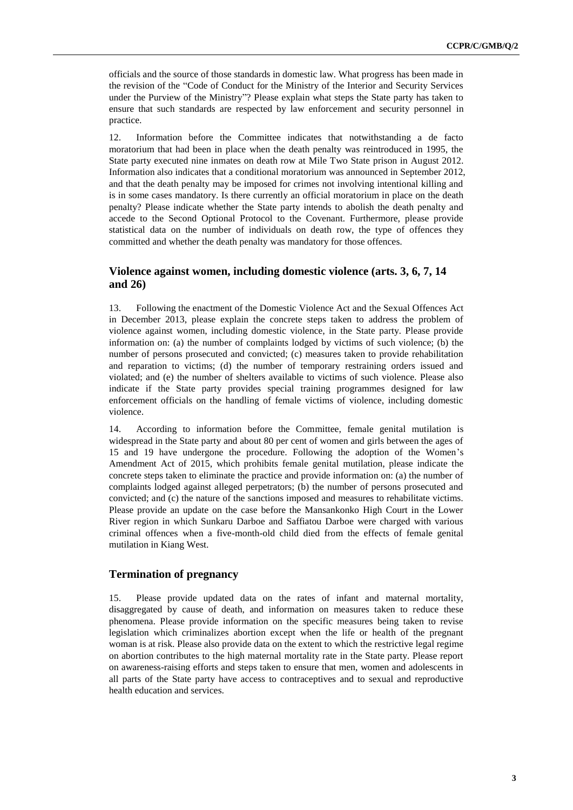officials and the source of those standards in domestic law. What progress has been made in the revision of the "Code of Conduct for the Ministry of the Interior and Security Services under the Purview of the Ministry"? Please explain what steps the State party has taken to ensure that such standards are respected by law enforcement and security personnel in practice.

12. Information before the Committee indicates that notwithstanding a de facto moratorium that had been in place when the death penalty was reintroduced in 1995, the State party executed nine inmates on death row at Mile Two State prison in August 2012. Information also indicates that a conditional moratorium was announced in September 2012, and that the death penalty may be imposed for crimes not involving intentional killing and is in some cases mandatory. Is there currently an official moratorium in place on the death penalty? Please indicate whether the State party intends to abolish the death penalty and accede to the Second Optional Protocol to the Covenant. Furthermore, please provide statistical data on the number of individuals on death row, the type of offences they committed and whether the death penalty was mandatory for those offences.

### **Violence against women, including domestic violence (arts. 3, 6, 7, 14 and 26)**

13. Following the enactment of the Domestic Violence Act and the Sexual Offences Act in December 2013, please explain the concrete steps taken to address the problem of violence against women, including domestic violence, in the State party. Please provide information on: (a) the number of complaints lodged by victims of such violence; (b) the number of persons prosecuted and convicted; (c) measures taken to provide rehabilitation and reparation to victims; (d) the number of temporary restraining orders issued and violated; and (e) the number of shelters available to victims of such violence. Please also indicate if the State party provides special training programmes designed for law enforcement officials on the handling of female victims of violence, including domestic violence.

14. According to information before the Committee, female genital mutilation is widespread in the State party and about 80 per cent of women and girls between the ages of 15 and 19 have undergone the procedure. Following the adoption of the Women's Amendment Act of 2015, which prohibits female genital mutilation, please indicate the concrete steps taken to eliminate the practice and provide information on: (a) the number of complaints lodged against alleged perpetrators; (b) the number of persons prosecuted and convicted; and (c) the nature of the sanctions imposed and measures to rehabilitate victims. Please provide an update on the case before the Mansankonko High Court in the Lower River region in which Sunkaru Darboe and Saffiatou Darboe were charged with various criminal offences when a five-month-old child died from the effects of female genital mutilation in Kiang West.

#### **Termination of pregnancy**

15. Please provide updated data on the rates of infant and maternal mortality, disaggregated by cause of death, and information on measures taken to reduce these phenomena. Please provide information on the specific measures being taken to revise legislation which criminalizes abortion except when the life or health of the pregnant woman is at risk. Please also provide data on the extent to which the restrictive legal regime on abortion contributes to the high maternal mortality rate in the State party. Please report on awareness-raising efforts and steps taken to ensure that men, women and adolescents in all parts of the State party have access to contraceptives and to sexual and reproductive health education and services.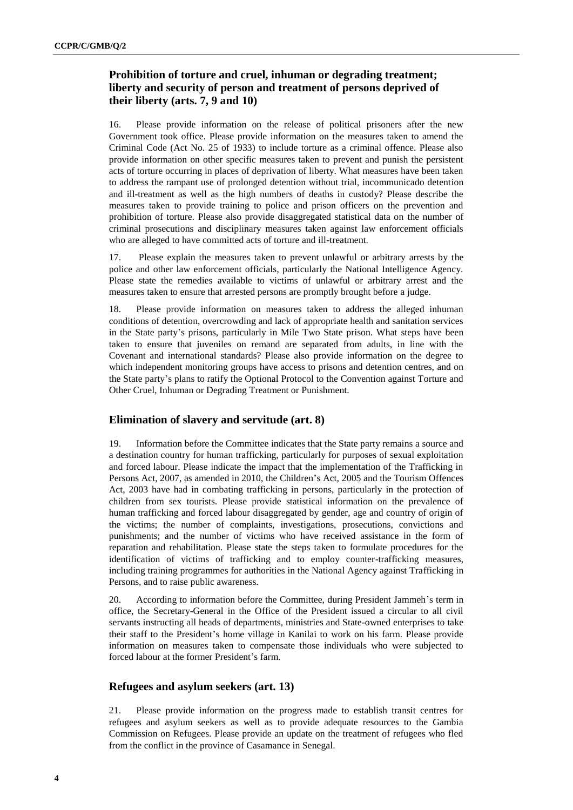### **Prohibition of torture and cruel, inhuman or degrading treatment; liberty and security of person and treatment of persons deprived of their liberty (arts. 7, 9 and 10)**

16. Please provide information on the release of political prisoners after the new Government took office. Please provide information on the measures taken to amend the Criminal Code (Act No. 25 of 1933) to include torture as a criminal offence. Please also provide information on other specific measures taken to prevent and punish the persistent acts of torture occurring in places of deprivation of liberty. What measures have been taken to address the rampant use of prolonged detention without trial, incommunicado detention and ill-treatment as well as the high numbers of deaths in custody? Please describe the measures taken to provide training to police and prison officers on the prevention and prohibition of torture. Please also provide disaggregated statistical data on the number of criminal prosecutions and disciplinary measures taken against law enforcement officials who are alleged to have committed acts of torture and ill-treatment.

17. Please explain the measures taken to prevent unlawful or arbitrary arrests by the police and other law enforcement officials, particularly the National Intelligence Agency. Please state the remedies available to victims of unlawful or arbitrary arrest and the measures taken to ensure that arrested persons are promptly brought before a judge.

18. Please provide information on measures taken to address the alleged inhuman conditions of detention, overcrowding and lack of appropriate health and sanitation services in the State party's prisons, particularly in Mile Two State prison. What steps have been taken to ensure that juveniles on remand are separated from adults, in line with the Covenant and international standards? Please also provide information on the degree to which independent monitoring groups have access to prisons and detention centres, and on the State party's plans to ratify the Optional Protocol to the Convention against Torture and Other Cruel, Inhuman or Degrading Treatment or Punishment.

### **Elimination of slavery and servitude (art. 8)**

19. Information before the Committee indicates that the State party remains a source and a destination country for human trafficking, particularly for purposes of sexual exploitation and forced labour. Please indicate the impact that the implementation of the Trafficking in Persons Act, 2007, as amended in 2010, the Children's Act, 2005 and the Tourism Offences Act, 2003 have had in combating trafficking in persons, particularly in the protection of children from sex tourists. Please provide statistical information on the prevalence of human trafficking and forced labour disaggregated by gender, age and country of origin of the victims; the number of complaints, investigations, prosecutions, convictions and punishments; and the number of victims who have received assistance in the form of reparation and rehabilitation. Please state the steps taken to formulate procedures for the identification of victims of trafficking and to employ counter-trafficking measures, including training programmes for authorities in the National Agency against Trafficking in Persons, and to raise public awareness.

20. According to information before the Committee, during President Jammeh's term in office, the Secretary-General in the Office of the President issued a circular to all civil servants instructing all heads of departments, ministries and State-owned enterprises to take their staff to the President's home village in Kanilai to work on his farm. Please provide information on measures taken to compensate those individuals who were subjected to forced labour at the former President's farm.

#### **Refugees and asylum seekers (art. 13)**

21. Please provide information on the progress made to establish transit centres for refugees and asylum seekers as well as to provide adequate resources to the Gambia Commission on Refugees. Please provide an update on the treatment of refugees who fled from the conflict in the province of Casamance in Senegal.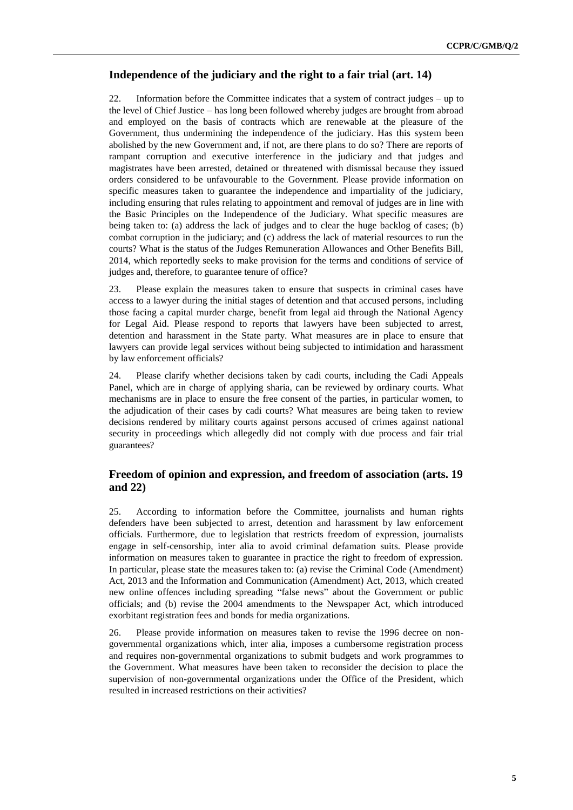#### **Independence of the judiciary and the right to a fair trial (art. 14)**

22. Information before the Committee indicates that a system of contract judges – up to the level of Chief Justice – has long been followed whereby judges are brought from abroad and employed on the basis of contracts which are renewable at the pleasure of the Government, thus undermining the independence of the judiciary. Has this system been abolished by the new Government and, if not, are there plans to do so? There are reports of rampant corruption and executive interference in the judiciary and that judges and magistrates have been arrested, detained or threatened with dismissal because they issued orders considered to be unfavourable to the Government. Please provide information on specific measures taken to guarantee the independence and impartiality of the judiciary, including ensuring that rules relating to appointment and removal of judges are in line with the Basic Principles on the Independence of the Judiciary. What specific measures are being taken to: (a) address the lack of judges and to clear the huge backlog of cases; (b) combat corruption in the judiciary; and (c) address the lack of material resources to run the courts? What is the status of the Judges Remuneration Allowances and Other Benefits Bill, 2014, which reportedly seeks to make provision for the terms and conditions of service of judges and, therefore, to guarantee tenure of office?

23. Please explain the measures taken to ensure that suspects in criminal cases have access to a lawyer during the initial stages of detention and that accused persons, including those facing a capital murder charge, benefit from legal aid through the National Agency for Legal Aid. Please respond to reports that lawyers have been subjected to arrest, detention and harassment in the State party. What measures are in place to ensure that lawyers can provide legal services without being subjected to intimidation and harassment by law enforcement officials?

24. Please clarify whether decisions taken by cadi courts, including the Cadi Appeals Panel, which are in charge of applying sharia, can be reviewed by ordinary courts. What mechanisms are in place to ensure the free consent of the parties, in particular women, to the adjudication of their cases by cadi courts? What measures are being taken to review decisions rendered by military courts against persons accused of crimes against national security in proceedings which allegedly did not comply with due process and fair trial guarantees?

#### **Freedom of opinion and expression, and freedom of association (arts. 19 and 22)**

25. According to information before the Committee, journalists and human rights defenders have been subjected to arrest, detention and harassment by law enforcement officials. Furthermore, due to legislation that restricts freedom of expression, journalists engage in self-censorship, inter alia to avoid criminal defamation suits. Please provide information on measures taken to guarantee in practice the right to freedom of expression. In particular, please state the measures taken to: (a) revise the Criminal Code (Amendment) Act, 2013 and the Information and Communication (Amendment) Act, 2013, which created new online offences including spreading "false news" about the Government or public officials; and (b) revise the 2004 amendments to the Newspaper Act, which introduced exorbitant registration fees and bonds for media organizations.

26. Please provide information on measures taken to revise the 1996 decree on nongovernmental organizations which, inter alia, imposes a cumbersome registration process and requires non-governmental organizations to submit budgets and work programmes to the Government. What measures have been taken to reconsider the decision to place the supervision of non-governmental organizations under the Office of the President, which resulted in increased restrictions on their activities?